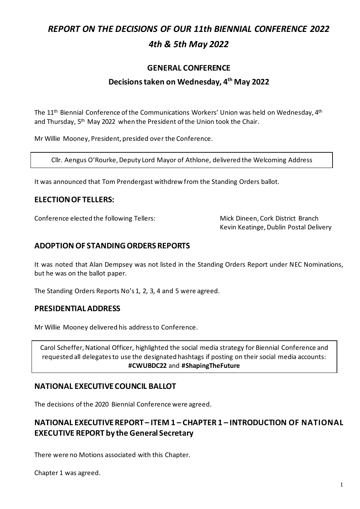# *REPORT ON THE DECISIONS OF OUR 11th BIENNIAL CONFERENCE 2022 4th & 5th May 2022*

## **GENERAL CONFERENCE**

## **Decisions taken on Wednesday, 4 th May 2022**

The  $11^{\text{th}}$  Biennial Conference of the Communications Workers' Union was held on Wednesday,  $4^{\text{th}}$ and Thursday, 5<sup>th</sup> May 2022 when the President of the Union took the Chair.

Mr Willie Mooney, President, presided over the Conference.

Cllr. Aengus O'Rourke, Deputy Lord Mayor of Athlone, delivered the Welcoming Address

It was announced that Tom Prendergast withdrew from the Standing Orders ballot.

## **ELECTION OF TELLERS:**

Conference elected the following Tellers: Mick Dineen, Cork District Branch

Kevin Keatinge, Dublin Postal Delivery

## **ADOPTION OF STANDING ORDERS REPORTS**

It was noted that Alan Dempsey was not listed in the Standing Orders Report under NEC Nominations, but he was on the ballot paper.

The Standing Orders Reports No's 1, 2, 3, 4 and 5 were agreed.

#### **PRESIDENTIALADDRESS**

Mr Willie Mooney delivered his address to Conference.

Carol Scheffer, National Officer, highlighted the social media strategy for Biennial Conference and requested all delegatesto use the designated hashtags if posting on their social media accounts: **#CWUBDC22** and **#ShapingTheFuture**

## **NATIONAL EXECUTIVE COUNCIL BALLOT**

The decisions of the 2020 Biennial Conference were agreed.

## **NATIONAL EXECUTIVE REPORT – ITEM 1 – CHAPTER 1 – INTRODUCTION OF NATIONAL EXECUTIVE REPORT by the General Secretary**

There were no Motions associated with this Chapter.

Chapter 1 was agreed.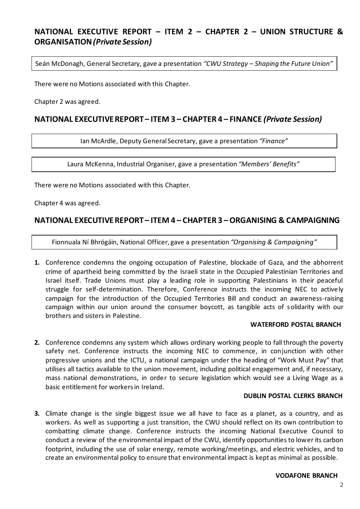## **NATIONAL EXECUTIVE REPORT – ITEM 2 – CHAPTER 2 – UNION STRUCTURE & ORGANISATION***(Private Session)*

Seán McDonagh, General Secretary, gave a presentation *"CWU Strategy – Shaping the Future Union"*

There were no Motions associated with this Chapter.

Chapter 2 was agreed.

### **NATIONAL EXECUTIVE REPORT – ITEM 3 – CHAPTER 4 – FINANCE** *(Private Session)*

Ian McArdle, Deputy General Secretary, gave a presentation *"Finance"*

Laura McKenna, Industrial Organiser, gave a presentation *"Members' Benefits"*

There were no Motions associated with this Chapter.

Chapter 4 was agreed.

#### **NATIONAL EXECUTIVE REPORT – ITEM 4 – CHAPTER 3 –ORGANISING & CAMPAIGNING**

Fionnuala Ní Bhrógáin, National Officer, gave a presentation *"Organising & Campaigning"*

**1.** Conference condemns the ongoing occupation of Palestine, blockade of Gaza, and the abhorrent crime of apartheid being committed by the Israeli state in the Occupied Palestinian Territories and Israel itself. Trade Unions must play a leading role in supporting Palestinians in their peaceful struggle for self-determination. Therefore, Conference instructs the incoming NEC to actively campaign for the introduction of the Occupied Territories Bill and conduct an awareness-raising campaign within our union around the consumer boycott, as tangible acts of solidarity with our brothers and sisters in Palestine.

#### **WATERFORD POSTAL BRANCH**

**2.** Conference condemns any system which allows ordinary working people to fall through the poverty safety net. Conference instructs the incoming NEC to commence, in conjunction with other progressive unions and the ICTU, a national campaign under the heading of "Work Must Pay" that utilises all tactics available to the union movement, including political engagement and, if necessary, mass national demonstrations, in order to secure legislation which would see a Living Wage as a basic entitlement for workers in Ireland.

#### **DUBLIN POSTAL CLERKS BRANCH**

**3.** Climate change is the single biggest issue we all have to face as a planet, as a country, and as workers. As well as supporting a just transition, the CWU should reflect on its own contribution to combatting climate change. Conference instructs the incoming National Executive Council to conduct a review of the environmental impact of the CWU, identify opportunities to lower its carbon footprint, including the use of solar energy, remote working/meetings, and electric vehicles, and to create an environmental policy to ensure that environmental impact is kept as minimal as possible.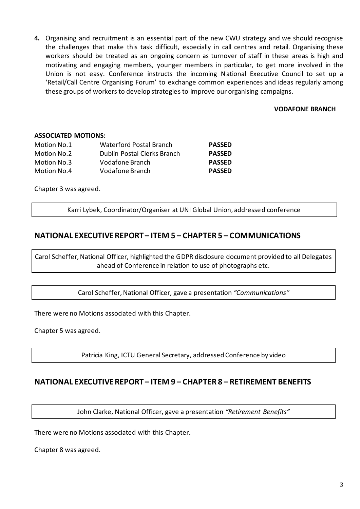**4.** Organising and recruitment is an essential part of the new CWU strategy and we should recognise the challenges that make this task difficult, especially in call centres and retail. Organising these workers should be treated as an ongoing concern as turnover of staff in these areas is high and motivating and engaging members, younger members in particular, to get more involved in the Union is not easy. Conference instructs the incoming National Executive Council to set up a 'Retail/Call Centre Organising Forum' to exchange common experiences and ideas regularly among these groups of workers to develop strategies to improve our organising campaigns.

#### **VODAFONE BRANCH**

#### **ASSOCIATED MOTIONS:**

| Motion No.1 | <b>Waterford Postal Branch</b> | <b>PASSED</b> |
|-------------|--------------------------------|---------------|
| Motion No.2 | Dublin Postal Clerks Branch    | <b>PASSED</b> |
| Motion No.3 | Vodafone Branch                | <b>PASSED</b> |
| Motion No.4 | Vodafone Branch                | <b>PASSED</b> |

Chapter 3 was agreed.

Karri Lybek, Coordinator/Organiser at UNI Global Union, addressed conference

## **NATIONAL EXECUTIVE REPORT – ITEM 5 – CHAPTER 5 – COMMUNICATIONS**

Carol Scheffer, National Officer, highlighted the GDPR disclosure document provided to all Delegates ahead of Conference in relation to use of photographs etc.

Carol Scheffer,National Officer, gave a presentation *"Communications"*

There were no Motions associated with this Chapter.

Chapter 5 was agreed.

Patricia King, ICTU General Secretary, addressed Conference by video

#### **NATIONAL EXECUTIVE REPORT – ITEM 9 – CHAPTER 8 – RETIREMENT BENEFITS**

John Clarke, National Officer, gave a presentation *"Retirement Benefits"*

There were no Motions associated with this Chapter.

Chapter 8 was agreed.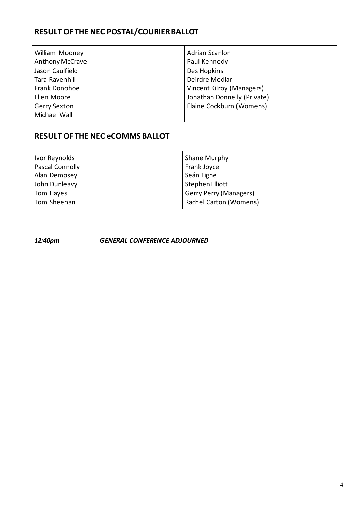# **RESULT OF THE NEC POSTAL/COURIER BALLOT**

| <b>William Mooney</b> | Adrian Scanlon              |
|-----------------------|-----------------------------|
| Anthony McCrave       | Paul Kennedy                |
| Jason Caulfield       | Des Hopkins                 |
| Tara Ravenhill        | Deirdre Medlar              |
| Frank Donohoe         | Vincent Kilroy (Managers)   |
| Ellen Moore           | Jonathan Donnelly (Private) |
| <b>Gerry Sexton</b>   | Elaine Cockburn (Womens)    |
| Michael Wall          |                             |

## **RESULT OF THE NEC eCOMMS BALLOT**

| Ivor Reynolds   | Shane Murphy                  |
|-----------------|-------------------------------|
| Pascal Connolly | Frank Joyce                   |
| Alan Dempsey    | Seán Tighe                    |
| John Dunleavy   | Stephen Elliott               |
| Tom Hayes       | <b>Gerry Perry (Managers)</b> |
| Tom Sheehan     | <b>Rachel Carton (Womens)</b> |

*12:40pm GENERAL CONFERENCE ADJOURNED*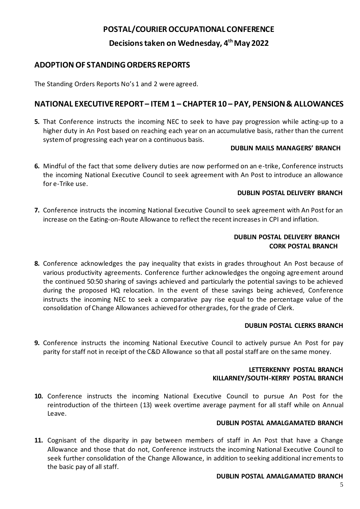## **POSTAL/COURIER OCCUPATIONAL CONFERENCE**

**Decisions taken on Wednesday, 4 th May 2022**

## **ADOPTION OF STANDING ORDERS REPORTS**

The Standing Orders Reports No's 1 and 2 were agreed.

## **NATIONAL EXECUTIVE REPORT – ITEM 1 – CHAPTER 10 – PAY, PENSION & ALLOWANCES**

**5.** That Conference instructs the incoming NEC to seek to have pay progression while acting-up to a higher duty in An Post based on reaching each year on an accumulative basis, rather than the current system of progressing each year on a continuous basis.

#### **DUBLIN MAILS MANAGERS' BRANCH**

**6.** Mindful of the fact that some delivery duties are now performed on an e-trike, Conference instructs the incoming National Executive Council to seek agreement with An Post to introduce an allowance for e-Trike use.

#### **DUBLIN POSTAL DELIVERY BRANCH**

**7.** Conference instructs the incoming National Executive Council to seek agreement with An Post for an increase on the Eating-on-Route Allowance to reflect the recent increases in CPI and inflation.

#### **DUBLIN POSTAL DELIVERY BRANCH CORK POSTAL BRANCH**

**8.** Conference acknowledges the pay inequality that exists in grades throughout An Post because of various productivity agreements. Conference further acknowledges the ongoing agreement around the continued 50:50 sharing of savings achieved and particularly the potential savings to be achieved during the proposed HQ relocation. In the event of these savings being achieved, Conference instructs the incoming NEC to seek a comparative pay rise equal to the percentage value of the consolidation of Change Allowances achieved for other grades, for the grade of Clerk.

#### **DUBLIN POSTAL CLERKS BRANCH**

**9.** Conference instructs the incoming National Executive Council to actively pursue An Post for pay parity for staff not in receipt of the C&D Allowance so that all postal staff are on the same money.

#### **LETTERKENNY POSTAL BRANCH KILLARNEY/SOUTH-KERRY POSTAL BRANCH**

**10.** Conference instructs the incoming National Executive Council to pursue An Post for the reintroduction of the thirteen (13) week overtime average payment for all staff while on Annual Leave.

#### **DUBLIN POSTAL AMALGAMATED BRANCH**

**11.** Cognisant of the disparity in pay between members of staff in An Post that have a Change Allowance and those that do not, Conference instructs the incoming National Executive Council to seek further consolidation of the Change Allowance, in addition to seeking additional increments to the basic pay of all staff.

#### **DUBLIN POSTAL AMALGAMATED BRANCH**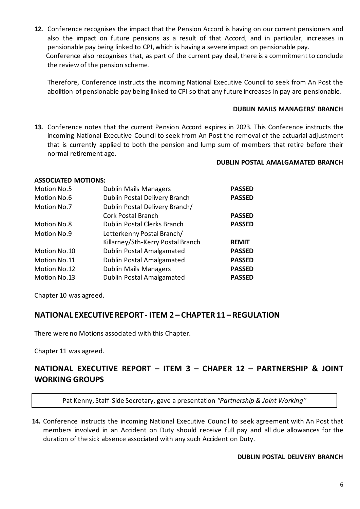**12.** Conference recognises the impact that the Pension Accord is having on our current pensioners and also the impact on future pensions as a result of that Accord, and in particular, increases in pensionable pay being linked to CPI, which is having a severe impact on pensionable pay. Conference also recognises that, as part of the current pay deal, there is a commitment to conclude the review of the pension scheme.

Therefore, Conference instructs the incoming National Executive Council to seek from An Post the abolition of pensionable pay being linked to CPI so that any future increases in pay are pensionable.

#### **DUBLIN MAILS MANAGERS' BRANCH**

**13.** Conference notes that the current Pension Accord expires in 2023. This Conference instructs the incoming National Executive Council to seek from An Post the removal of the actuarial adjustment that is currently applied to both the pension and lump sum of members that retire before their normal retirement age.

#### **DUBLIN POSTAL AMALGAMATED BRANCH**

## **ASSOCIATED MOTIONS:** Motion No.5 Dublin Mails Managers **PASSED** Motion No.6 Dublin Postal Delivery Branch **PASSED** Motion No.7 Dublin Postal Delivery Branch/ Cork Postal Branch **PASSED** Motion No.8 Dublin Postal Clerks Branch **PASSED** Motion No.9 Letterkenny Postal Branch/ Killarney/Sth-Kerry Postal Branch **REMIT** Motion No.10 Dublin Postal Amalgamated **PASSED** Motion No.11 Dublin Postal Amalgamated **PASSED** Motion No.12 Dublin Mails Managers **PASSED** Motion No.13 Dublin Postal Amalgamated **PASSED**

Chapter 10 was agreed.

## **NATIONAL EXECUTIVE REPORT - ITEM 2 – CHAPTER 11 – REGULATION**

There were no Motions associated with this Chapter.

Chapter 11 was agreed.

## **NATIONAL EXECUTIVE REPORT – ITEM 3 – CHAPER 12 – PARTNERSHIP & JOINT WORKING GROUPS**

Pat Kenny, Staff-Side Secretary, gave a presentation *"Partnership & Joint Working"*

**14.** Conference instructs the incoming National Executive Council to seek agreement with An Post that members involved in an Accident on Duty should receive full pay and all due allowances for the duration of the sick absence associated with any such Accident on Duty.

#### **DUBLIN POSTAL DELIVERY BRANCH**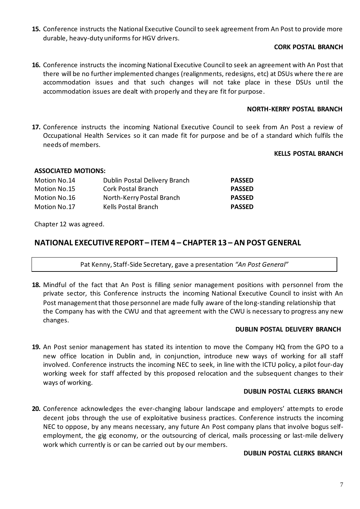**15.** Conference instructs the National Executive Council to seek agreement from An Post to provide more durable, heavy-duty uniforms for HGV drivers.

#### **CORK POSTAL BRANCH**

**16.** Conference instructs the incoming National Executive Council to seek an agreement with An Post that there will be no further implemented changes (realignments, redesigns, etc) at DSUs where the re are accommodation issues and that such changes will not take place in these DSUs until the accommodation issues are dealt with properly and they are fit for purpose.

#### **NORTH-KERRY POSTAL BRANCH**

**17.** Conference instructs the incoming National Executive Council to seek from An Post a review of Occupational Health Services so it can made fit for purpose and be of a standard which fulfils the needs of members.

#### **KELLS POSTAL BRANCH**

#### **ASSOCIATED MOTIONS:**

| Motion No.14 | Dublin Postal Delivery Branch | <b>PASSED</b> |
|--------------|-------------------------------|---------------|
| Motion No.15 | Cork Postal Branch            | <b>PASSED</b> |
| Motion No.16 | North-Kerry Postal Branch     | <b>PASSED</b> |
| Motion No.17 | Kells Postal Branch           | <b>PASSED</b> |

Chapter 12 was agreed.

## **NATIONAL EXECUTIVE REPORT – ITEM 4 – CHAPTER 13 – AN POST GENERAL**

Pat Kenny, Staff-Side Secretary, gave a presentation *"An Post General"*

**18.** Mindful of the fact that An Post is filling senior management positions with personnel from the private sector, this Conference instructs the incoming National Executive Council to insist with An Post managementthat those personnel are made fully aware of the long-standing relationship that the Company has with the CWU and that agreement with the CWU is necessary to progress any new changes.

#### **DUBLIN POSTAL DELIVERY BRANCH**

**19.** An Post senior management has stated its intention to move the Company HQ from the GPO to a new office location in Dublin and, in conjunction, introduce new ways of working for all staff involved. Conference instructs the incoming NEC to seek, in line with the ICTU policy, a pilot four-day working week for staff affected by this proposed relocation and the subsequent changes to their ways of working.

#### **DUBLIN POSTAL CLERKS BRANCH**

**20.** Conference acknowledges the ever-changing labour landscape and employers' attempts to erode decent jobs through the use of exploitative business practices. Conference instructs the incoming NEC to oppose, by any means necessary, any future An Post company plans that involve bogus selfemployment, the gig economy, or the outsourcing of clerical, mails processing or last-mile delivery work which currently is or can be carried out by our members.

#### **DUBLIN POSTAL CLERKS BRANCH**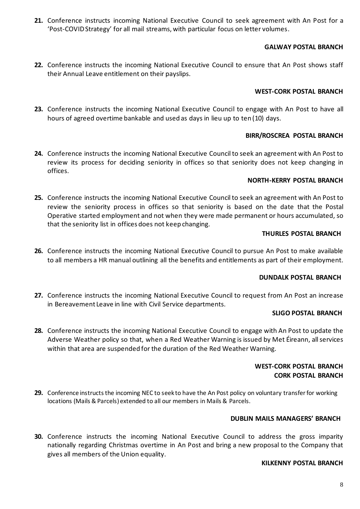**21.** Conference instructs incoming National Executive Council to seek agreement with An Post for a 'Post-COVID Strategy' for all mail streams, with particular focus on letter volumes.

#### **GALWAY POSTAL BRANCH**

**22.** Conference instructs the incoming National Executive Council to ensure that An Post shows staff their Annual Leave entitlement on their payslips.

#### **WEST-CORK POSTAL BRANCH**

**23.** Conference instructs the incoming National Executive Council to engage with An Post to have all hours of agreed overtime bankable and used as days in lieu up to ten (10) days.

#### **BIRR/ROSCREA POSTAL BRANCH**

**24.** Conference instructs the incoming National Executive Council to seek an agreement with An Post to review its process for deciding seniority in offices so that seniority does not keep changing in offices.

#### **NORTH-KERRY POSTAL BRANCH**

**25.** Conference instructs the incoming National Executive Council to seek an agreement with An Post to review the seniority process in offices so that seniority is based on the date that the Postal Operative started employment and not when they were made permanent or hours accumulated, so that the seniority list in offices does not keep changing.

#### **THURLES POSTAL BRANCH**

**26.** Conference instructs the incoming National Executive Council to pursue An Post to make available to all members a HR manual outlining all the benefits and entitlements as part of their employment.

#### **DUNDALK POSTAL BRANCH**

**27.** Conference instructs the incoming National Executive Council to request from An Post an increase in Bereavement Leave in line with Civil Service departments.

#### **SLIGO POSTAL BRANCH**

**28.** Conference instructs the incoming National Executive Council to engage with An Post to update the Adverse Weather policy so that, when a Red Weather Warning is issued by Met Éireann, all services within that area are suspended for the duration of the Red Weather Warning.

#### **WEST-CORK POSTAL BRANCH CORK POSTAL BRANCH**

**29.** Conference instructs the incoming NEC to seek to have the An Post policy on voluntary transfer for working locations (Mails & Parcels) extended to all our members in Mails & Parcels.

#### **DUBLIN MAILS MANAGERS' BRANCH**

**30.** Conference instructs the incoming National Executive Council to address the gross imparity nationally regarding Christmas overtime in An Post and bring a new proposal to the Company that gives all members of the Union equality.

#### **KILKENNY POSTAL BRANCH**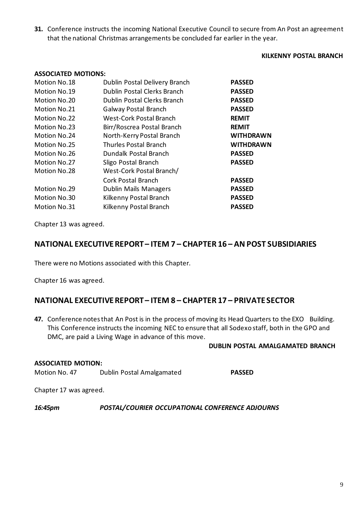**31.** Conference instructs the incoming National Executive Council to secure from An Post an agreement that the national Christmas arrangements be concluded far earlier in the year.

#### **KILKENNY POSTAL BRANCH**

| <b>ASSOCIATED MOTIONS:</b> |                               |                  |
|----------------------------|-------------------------------|------------------|
| Motion No.18               | Dublin Postal Delivery Branch | <b>PASSED</b>    |
| Motion No.19               | Dublin Postal Clerks Branch   | <b>PASSED</b>    |
| Motion No.20               | Dublin Postal Clerks Branch   | <b>PASSED</b>    |
| Motion No.21               | Galway Postal Branch          | <b>PASSED</b>    |
| Motion No.22               | West-Cork Postal Branch       | <b>REMIT</b>     |
| Motion No.23               | Birr/Roscrea Postal Branch    | <b>REMIT</b>     |
| Motion No.24               | North-Kerry Postal Branch     | <b>WITHDRAWN</b> |
| Motion No.25               | <b>Thurles Postal Branch</b>  | <b>WITHDRAWN</b> |
| Motion No.26               | Dundalk Postal Branch         | <b>PASSED</b>    |
| Motion No.27               | Sligo Postal Branch           | <b>PASSED</b>    |
| Motion No.28               | West-Cork Postal Branch/      |                  |
|                            | <b>Cork Postal Branch</b>     | <b>PASSED</b>    |
| Motion No.29               | Dublin Mails Managers         | <b>PASSED</b>    |
| Motion No.30               | Kilkenny Postal Branch        | <b>PASSED</b>    |
| Motion No.31               | Kilkenny Postal Branch        | <b>PASSED</b>    |
|                            |                               |                  |

Chapter 13 was agreed.

### **NATIONAL EXECUTIVE REPORT – ITEM 7 – CHAPTER 16 – AN POST SUBSIDIARIES**

There were no Motions associated with this Chapter.

Chapter 16 was agreed.

## **NATIONAL EXECUTIVE REPORT – ITEM 8 – CHAPTER 17 – PRIVATE SECTOR**

47. Conference notes that An Post is in the process of moving its Head Quarters to the EXO Building. This Conference instructs the incoming NEC to ensure that all Sodexo staff, both in the GPO and DMC, are paid a Living Wage in advance of this move.

#### **DUBLIN POSTAL AMALGAMATED BRANCH**

#### **ASSOCIATED MOTION:**

Motion No. 47 Dublin Postal Amalgamated **PASSED**

Chapter 17 was agreed.

#### *16:45pm POSTAL/COURIER OCCUPATIONAL CONFERENCE ADJOURNS*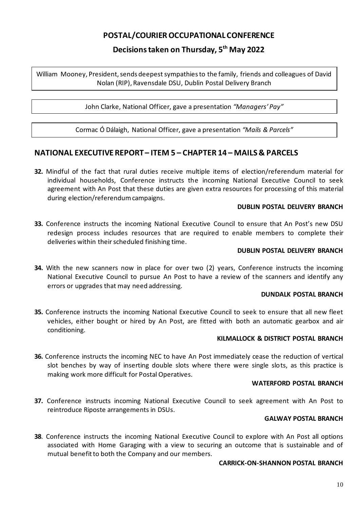## **POSTAL/COURIER OCCUPATIONAL CONFERENCE**

## **Decisions taken on Thursday, 5th May 2022**

William Mooney, President, sends deepest sympathies to the family, friends and colleagues of David Nolan (RIP), Ravensdale DSU, Dublin Postal Delivery Branch

John Clarke, National Officer, gave a presentation *"Managers' Pay"*

Cormac Ó Dálaigh, National Officer, gave a presentation *"Mails & Parcels"*

## **NATIONAL EXECUTIVEREPORT – ITEM 5 – CHAPTER 14 – MAILS & PARCELS**

**32.** Mindful of the fact that rural duties receive multiple items of election/referendum material for individual households, Conference instructs the incoming National Executive Council to seek agreement with An Post that these duties are given extra resources for processing of this material during election/referendum campaigns.

#### **DUBLIN POSTAL DELIVERY BRANCH**

**33.** Conference instructs the incoming National Executive Council to ensure that An Post's new DSU redesign process includes resources that are required to enable members to complete their deliveries within their scheduled finishing time.

#### **DUBLIN POSTAL DELIVERY BRANCH**

**34.** With the new scanners now in place for over two (2) years, Conference instructs the incoming National Executive Council to pursue An Post to have a review of the scanners and identify any errors or upgrades that may need addressing.

#### **DUNDALK POSTAL BRANCH**

**35.** Conference instructs the incoming National Executive Council to seek to ensure that all new fleet vehicles, either bought or hired by An Post, are fitted with both an automatic gearbox and air conditioning.

#### **KILMALLOCK & DISTRICT POSTAL BRANCH**

**36.** Conference instructs the incoming NEC to have An Post immediately cease the reduction of vertical slot benches by way of inserting double slots where there were single slots, as this practice is making work more difficult for Postal Operatives.

#### **WATERFORD POSTAL BRANCH**

**37.** Conference instructs incoming National Executive Council to seek agreement with An Post to reintroduce Riposte arrangements in DSUs.

#### **GALWAY POSTAL BRANCH**

**38**. Conference instructs the incoming National Executive Council to explore with An Post all options associated with Home Garaging with a view to securing an outcome that is sustainable and of mutual benefit to both the Company and our members.

#### **CARRICK-ON-SHANNON POSTAL BRANCH**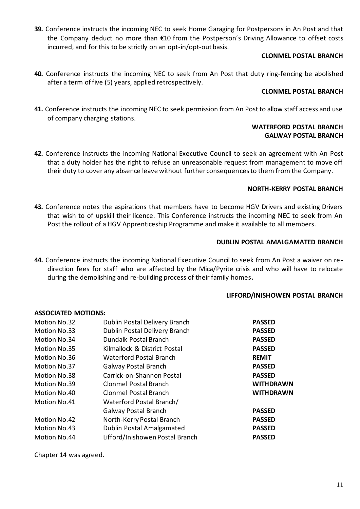**39.** Conference instructs the incoming NEC to seek Home Garaging for Postpersons in An Post and that the Company deduct no more than €10 from the Postperson's Driving Allowance to offset costs incurred, and for this to be strictly on an opt-in/opt-out basis.

#### **CLONMEL POSTAL BRANCH**

**40.** Conference instructs the incoming NEC to seek from An Post that duty ring-fencing be abolished after a term of five (5) years, applied retrospectively.

#### **CLONMEL POSTAL BRANCH**

**41.** Conference instructs the incoming NEC to seek permission from An Post to allow staff access and use of company charging stations.

#### **WATERFORD POSTAL BRANCH GALWAY POSTAL BRANCH**

**42.** Conference instructs the incoming National Executive Council to seek an agreement with An Post that a duty holder has the right to refuse an unreasonable request from management to move off their duty to cover any absence leave without further consequences to them from the Company.

#### **NORTH-KERRY POSTAL BRANCH**

**43.** Conference notes the aspirations that members have to become HGV Drivers and existing Drivers that wish to of upskill their licence. This Conference instructs the incoming NEC to seek from An Post the rollout of a HGV Apprenticeship Programme and make it available to all members.

#### **DUBLIN POSTAL AMALGAMATED BRANCH**

**44.** Conference instructs the incoming National Executive Council to seek from An Post a waiver on re direction fees for staff who are affected by the Mica/Pyrite crisis and who will have to relocate during the demolishing and re-building process of their family homes**.**

#### **LIFFORD/INISHOWEN POSTAL BRANCH**

#### **ASSOCIATED MOTIONS:**

| Motion No.32 | Dublin Postal Delivery Branch   | <b>PASSED</b>    |
|--------------|---------------------------------|------------------|
| Motion No.33 | Dublin Postal Delivery Branch   | <b>PASSED</b>    |
| Motion No.34 | Dundalk Postal Branch           | <b>PASSED</b>    |
| Motion No.35 | Kilmallock & District Postal    | <b>PASSED</b>    |
| Motion No.36 | <b>Waterford Postal Branch</b>  | <b>REMIT</b>     |
| Motion No.37 | <b>Galway Postal Branch</b>     | <b>PASSED</b>    |
| Motion No.38 | Carrick-on-Shannon Postal       | <b>PASSED</b>    |
| Motion No.39 | <b>Clonmel Postal Branch</b>    | <b>WITHDRAWN</b> |
| Motion No.40 | Clonmel Postal Branch           | <b>WITHDRAWN</b> |
| Motion No.41 | Waterford Postal Branch/        |                  |
|              | Galway Postal Branch            | <b>PASSED</b>    |
| Motion No.42 | North-Kerry Postal Branch       | <b>PASSED</b>    |
| Motion No.43 | Dublin Postal Amalgamated       | <b>PASSED</b>    |
| Motion No.44 | Lifford/Inishowen Postal Branch | <b>PASSED</b>    |
|              |                                 |                  |

Chapter 14 was agreed.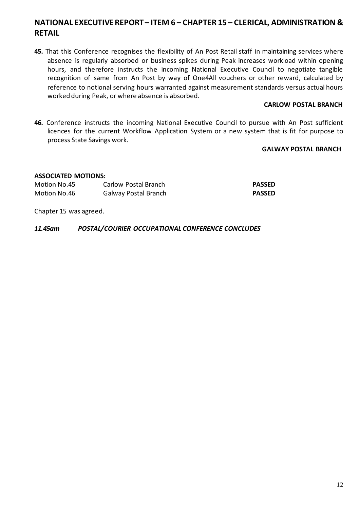## **NATIONAL EXECUTIVE REPORT – ITEM 6 – CHAPTER 15 – CLERICAL, ADMINISTRATION & RETAIL**

**45.** That this Conference recognises the flexibility of An Post Retail staff in maintaining services where absence is regularly absorbed or business spikes during Peak increases workload within opening hours, and therefore instructs the incoming National Executive Council to negotiate tangible recognition of same from An Post by way of One4All vouchers or other reward, calculated by reference to notional serving hours warranted against measurement standards versus actual hours worked during Peak, or where absence is absorbed.

#### **CARLOW POSTAL BRANCH**

**46.** Conference instructs the incoming National Executive Council to pursue with An Post sufficient licences for the current Workflow Application System or a new system that is fit for purpose to process State Savings work.

#### **GALWAY POSTAL BRANCH**

#### **ASSOCIATED MOTIONS:**

| Motion No.45 | Carlow Postal Branch | <b>PASSED</b> |
|--------------|----------------------|---------------|
| Motion No.46 | Galway Postal Branch | <b>PASSED</b> |

Chapter 15 was agreed.

*11.45am POSTAL/COURIER OCCUPATIONAL CONFERENCE CONCLUDES*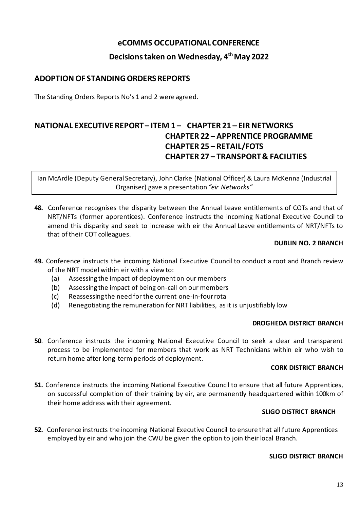## **eCOMMS OCCUPATIONAL CONFERENCE**

## **Decisions taken on Wednesday, 4 th May 2022**

## **ADOPTION OF STANDING ORDERS REPORTS**

The Standing Orders Reports No's 1 and 2 were agreed.

## **NATIONAL EXECUTIVE REPORT – ITEM 1 – CHAPTER 21 – EIR NETWORKS CHAPTER 22 – APPRENTICE PROGRAMME CHAPTER 25 – RETAIL/FOTS CHAPTER 27 – TRANSPORT & FACILITIES**

Ian McArdle (Deputy General Secretary), John Clarke (National Officer) & Laura McKenna (Industrial Organiser) gave a presentation *"eir Networks"*

**48.** Conference recognises the disparity between the Annual Leave entitlements of COTs and that of NRT/NFTs (former apprentices). Conference instructs the incoming National Executive Council to amend this disparity and seek to increase with eir the Annual Leave entitlements of NRT/NFTs to that of their COT colleagues.

#### **DUBLIN NO. 2 BRANCH**

- **49.** Conference instructs the incoming National Executive Council to conduct a root and Branch review of the NRT model within eir with a view to:
	- (a) Assessing the impact of deployment on our members
	- (b) Assessing the impact of being on-call on our members
	- (c) Reassessing the need for the current one-in-four rota
	- (d) Renegotiating the remuneration for NRT liabilities, as it is unjustifiably low

#### **DROGHEDA DISTRICT BRANCH**

**50**. Conference instructs the incoming National Executive Council to seek a clear and transparent process to be implemented for members that work as NRT Technicians within eir who wish to return home after long-term periods of deployment.

#### **CORK DISTRICT BRANCH**

**51.** Conference instructs the incoming National Executive Council to ensure that all future Apprentices, on successful completion of their training by eir, are permanently headquartered within 100km of their home address with their agreement.

#### **SLIGO DISTRICT BRANCH**

**52.** Conference instructs the incoming National Executive Council to ensure that all future Apprentices employed by eir and who join the CWU be given the option to join their local Branch.

#### **SLIGO DISTRICT BRANCH**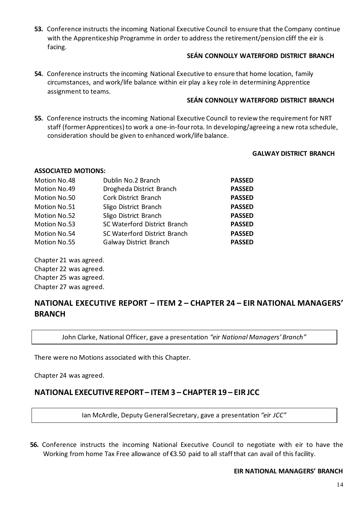**53.** Conference instructs the incoming National Executive Council to ensure that the Company continue with the Apprenticeship Programme in order to address the retirement/pension cliff the eir is facing.

#### **SEÁN CONNOLLY WATERFORD DISTRICT BRANCH**

**54.** Conference instructs the incoming National Executive to ensure that home location, family circumstances, and work/life balance within eir play a key role in determining Apprentice assignment to teams.

#### **SEÁN CONNOLLY WATERFORD DISTRICT BRANCH**

**55.** Conference instructs the incoming National Executive Council to review the requirement for NRT staff (former Apprentices) to work a one-in-four rota. In developing/agreeing a new rota schedule, consideration should be given to enhanced work/life balance.

#### **GALWAY DISTRICT BRANCH**

#### **ASSOCIATED MOTIONS:**

| Motion No.48 | Dublin No.2 Branch           | <b>PASSED</b> |
|--------------|------------------------------|---------------|
| Motion No.49 | Drogheda District Branch     | <b>PASSED</b> |
| Motion No.50 | Cork District Branch         | <b>PASSED</b> |
| Motion No.51 | Sligo District Branch        | <b>PASSED</b> |
| Motion No.52 | Sligo District Branch        | <b>PASSED</b> |
| Motion No.53 | SC Waterford District Branch | <b>PASSED</b> |
| Motion No.54 | SC Waterford District Branch | <b>PASSED</b> |
| Motion No.55 | Galway District Branch       | <b>PASSED</b> |

Chapter 21 was agreed. Chapter 22 was agreed. Chapter 25 was agreed. Chapter 27 was agreed.

## **NATIONAL EXECUTIVE REPORT – ITEM 2 – CHAPTER 24 – EIR NATIONAL MANAGERS' BRANCH**

John Clarke, National Officer, gave a presentation *"eir National Managers' Branch"*

There were no Motions associated with this Chapter.

Chapter 24 was agreed.

## **NATIONAL EXECUTIVE REPORT – ITEM 3 – CHAPTER 19 – EIR JCC**

Ian McArdle, Deputy General Secretary, gave a presentation *"eir JCC"*

**56.** Conference instructs the incoming National Executive Council to negotiate with eir to have the Working from home Tax Free allowance of €3.50 paid to all staff that can avail of this facility.

#### **EIR NATIONAL MANAGERS' BRANCH**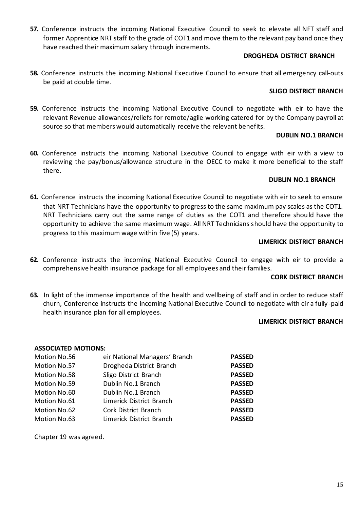**57.** Conference instructs the incoming National Executive Council to seek to elevate all NFT staff and former Apprentice NRT staff to the grade of COT1 and move them to the relevant pay band once they have reached their maximum salary through increments.

#### **DROGHEDA DISTRICT BRANCH**

**58.** Conference instructs the incoming National Executive Council to ensure that all emergency call-outs be paid at double time.

#### **SLIGO DISTRICT BRANCH**

**59.** Conference instructs the incoming National Executive Council to negotiate with eir to have the relevant Revenue allowances/reliefs for remote/agile working catered for by the Company payroll at source so that members would automatically receive the relevant benefits.

#### **DUBLIN NO.1 BRANCH**

**60.** Conference instructs the incoming National Executive Council to engage with eir with a view to reviewing the pay/bonus/allowance structure in the OECC to make it more beneficial to the staff there.

#### **DUBLIN NO.1 BRANCH**

**61.** Conference instructs the incoming National Executive Council to negotiate with eir to seek to ensure that NRT Technicians have the opportunity to progress to the same maximum pay scales as the COT1. NRT Technicians carry out the same range of duties as the COT1 and therefore should have the opportunity to achieve the same maximum wage. All NRT Technicians should have the opportunity to progress to this maximum wage within five (5) years.

#### **LIMERICK DISTRICT BRANCH**

**62.** Conference instructs the incoming National Executive Council to engage with eir to provide a comprehensive health insurance package for all employees and their families.

#### **CORK DISTRICT BRANCH**

**63.** In light of the immense importance of the health and wellbeing of staff and in order to reduce staff churn, Conference instructs the incoming National Executive Council to negotiate with eir a fully -paid health insurance plan for all employees.

#### **LIMERICK DISTRICT BRANCH**

#### **ASSOCIATED MOTIONS:**

| Motion No.56 | eir National Managers' Branch | <b>PASSED</b> |
|--------------|-------------------------------|---------------|
| Motion No.57 | Drogheda District Branch      | <b>PASSED</b> |
| Motion No.58 | Sligo District Branch         | <b>PASSED</b> |
| Motion No.59 | Dublin No.1 Branch            | <b>PASSED</b> |
| Motion No.60 | Dublin No.1 Branch            | <b>PASSED</b> |
| Motion No.61 | Limerick District Branch      | <b>PASSED</b> |
| Motion No.62 | Cork District Branch          | <b>PASSED</b> |
| Motion No.63 | Limerick District Branch      | <b>PASSED</b> |

Chapter 19 was agreed.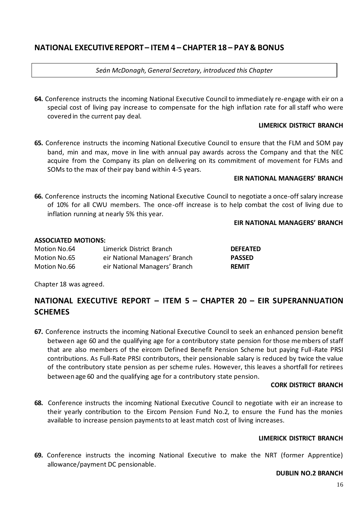## **NATIONAL EXECUTIVE REPORT – ITEM 4 – CHAPTER 18 – PAY & BONUS**

*Seán McDonagh, General Secretary, introduced this Chapter*

**64.** Conference instructs the incoming National Executive Council to immediately re-engage with eir on a special cost of living pay increase to compensate for the high inflation rate for all staff who were covered in the current pay deal.

#### **LIMERICK DISTRICT BRANCH**

**65.** Conference instructs the incoming National Executive Council to ensure that the FLM and SOM pay band, min and max, move in line with annual pay awards across the Company and that the NEC acquire from the Company its plan on delivering on its commitment of movement for FLMs and SOMs to the max of their pay band within 4-5 years.

#### **EIR NATIONAL MANAGERS' BRANCH**

**66.** Conference instructs the incoming National Executive Council to negotiate a once-off salary increase of 10% for all CWU members. The once-off increase is to help combat the cost of living due to inflation running at nearly 5% this year.

#### **EIR NATIONAL MANAGERS' BRANCH**

#### **ASSOCIATED MOTIONS:**

| Motion No.64 | Limerick District Branch      | <b>DEFEATED</b> |
|--------------|-------------------------------|-----------------|
| Motion No.65 | eir National Managers' Branch | <b>PASSED</b>   |
| Motion No.66 | eir National Managers' Branch | <b>REMIT</b>    |

Chapter 18 was agreed.

## **NATIONAL EXECUTIVE REPORT – ITEM 5 – CHAPTER 20 – EIR SUPERANNUATION SCHEMES**

**67.** Conference instructs the incoming National Executive Council to seek an enhanced pension benefit between age 60 and the qualifying age for a contributory state pension for those members of staff that are also members of the eircom Defined Benefit Pension Scheme but paying Full-Rate PRSI contributions. As Full-Rate PRSI contributors, their pensionable salary is reduced by twice the value of the contributory state pension as per scheme rules. However, this leaves a shortfall for retirees between age 60 and the qualifying age for a contributory state pension.

#### **CORK DISTRICT BRANCH**

**68.** Conference instructs the incoming National Executive Council to negotiate with eir an increase to their yearly contribution to the Eircom Pension Fund No.2, to ensure the Fund has the monies available to increase pension payments to at least match cost of living increases.

#### **LIMERICK DISTRICT BRANCH**

**69.** Conference instructs the incoming National Executive to make the NRT (former Apprentice) allowance/payment DC pensionable.

#### **DUBLIN NO.2 BRANCH**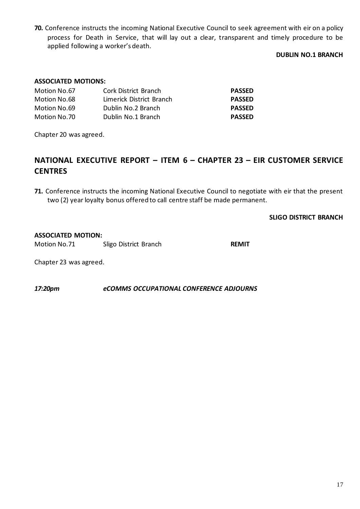**70.** Conference instructs the incoming National Executive Council to seek agreement with eir on a policy process for Death in Service, that will lay out a clear, transparent and timely procedure to be applied following a worker's death.

#### **DUBLIN NO.1 BRANCH**

#### **ASSOCIATED MOTIONS:**

| Motion No.67 | Cork District Branch     | <b>PASSED</b> |
|--------------|--------------------------|---------------|
| Motion No.68 | Limerick District Branch | <b>PASSED</b> |
| Motion No.69 | Dublin No.2 Branch       | <b>PASSED</b> |
| Motion No.70 | Dublin No.1 Branch       | <b>PASSED</b> |

Chapter 20 was agreed.

## **NATIONAL EXECUTIVE REPORT – ITEM 6 – CHAPTER 23 – EIR CUSTOMER SERVICE CENTRES**

**71.** Conference instructs the incoming National Executive Council to negotiate with eir that the present two (2) year loyalty bonus offered to call centre staff be made permanent.

#### **SLIGO DISTRICT BRANCH**

#### **ASSOCIATED MOTION:**

Motion No.71 Sligo District Branch **REMIT**

Chapter 23 was agreed.

*17:20pm eCOMMS OCCUPATIONAL CONFERENCE ADJOURNS*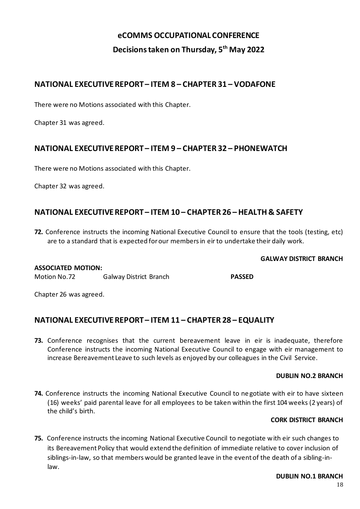# **eCOMMS OCCUPATIONAL CONFERENCE Decisions taken on Thursday, 5th May 2022**

## **NATIONAL EXECUTIVE REPORT – ITEM 8 – CHAPTER 31 – VODAFONE**

There were no Motions associated with this Chapter.

Chapter 31 was agreed.

## **NATIONAL EXECUTIVE REPORT – ITEM 9 – CHAPTER 32 – PHONEWATCH**

There were no Motions associated with this Chapter.

Chapter 32 was agreed.

## **NATIONAL EXECUTIVE REPORT – ITEM 10 – CHAPTER 26 – HEALTH & SAFETY**

**72.** Conference instructs the incoming National Executive Council to ensure that the tools (testing, etc) are to a standard that is expected for our members in eir to undertake their daily work.

#### **GALWAY DISTRICT BRANCH**

#### **ASSOCIATED MOTION:**

Motion No.72 Galway District Branch **PASSED**

Chapter 26 was agreed.

## **NATIONAL EXECUTIVE REPORT – ITEM 11 – CHAPTER 28 – EQUALITY**

**73.** Conference recognises that the current bereavement leave in eir is inadequate, therefore Conference instructs the incoming National Executive Council to engage with eir management to increase Bereavement Leave to such levels as enjoyed by our colleagues in the Civil Service.

#### **DUBLIN NO.2 BRANCH**

**74.** Conference instructs the incoming National Executive Council to negotiate with eir to have sixteen (16) weeks' paid parental leave for all employees to be taken within the first 104 weeks (2 years) of the child's birth.

#### **CORK DISTRICT BRANCH**

**75.** Conference instructs the incoming National Executive Council to negotiate with eir such changes to its Bereavement Policy that would extend the definition of immediate relative to cover inclusion of siblings-in-law, so that members would be granted leave in the event of the death of a sibling-inlaw.

#### **DUBLIN NO.1 BRANCH**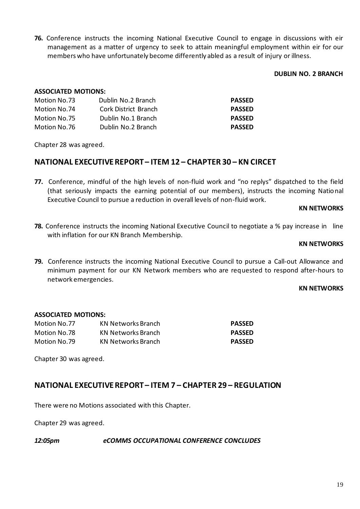**76.** Conference instructs the incoming National Executive Council to engage in discussions with eir management as a matter of urgency to seek to attain meaningful employment within eir for our members who have unfortunately become differently abled as a result of injury or illness.

#### **DUBLIN NO. 2 BRANCH**

#### **ASSOCIATED MOTIONS:**

| Motion No.73 | Dublin No.2 Branch   | <b>PASSED</b> |
|--------------|----------------------|---------------|
| Motion No.74 | Cork District Branch | <b>PASSED</b> |
| Motion No.75 | Dublin No.1 Branch   | <b>PASSED</b> |
| Motion No.76 | Dublin No.2 Branch   | <b>PASSED</b> |

Chapter 28 was agreed.

## **NATIONAL EXECUTIVE REPORT – ITEM 12 – CHAPTER 30 – KN CIRCET**

**77.** Conference, mindful of the high levels of non-fluid work and "no replys" dispatched to the field (that seriously impacts the earning potential of our members), instructs the incoming National Executive Council to pursue a reduction in overall levels of non-fluid work.

#### **KN NETWORKS**

**78.** Conference instructs the incoming National Executive Council to negotiate a % pay increase in line with inflation for our KN Branch Membership.

#### **KN NETWORKS**

**79.** Conference instructs the incoming National Executive Council to pursue a Call-out Allowance and minimum payment for our KN Network members who are requested to respond after-hours to network emergencies.

#### **KN NETWORKS**

#### **ASSOCIATED MOTIONS:**

| Motion No.77 | KN Networks Branch | <b>PASSED</b> |
|--------------|--------------------|---------------|
| Motion No.78 | KN Networks Branch | <b>PASSED</b> |
| Motion No.79 | KN Networks Branch | <b>PASSED</b> |

Chapter 30 was agreed.

## **NATIONAL EXECUTIVE REPORT– ITEM 7 – CHAPTER 29 – REGULATION**

There were no Motions associated with this Chapter.

Chapter 29 was agreed.

#### *12:05pm eCOMMS OCCUPATIONAL CONFERENCE CONCLUDES*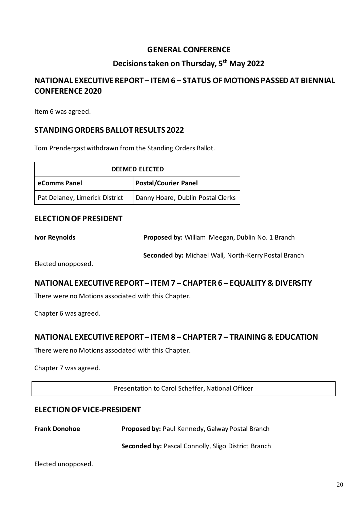## **GENERAL CONFERENCE**

## **Decisions taken on Thursday, 5th May 2022**

## **NATIONAL EXECUTIVE REPORT – ITEM 6 – STATUS OF MOTIONS PASSEDAT BIENNIAL CONFERENCE 2020**

Item 6 was agreed.

## **STANDING ORDERS BALLOTRESULTS 2022**

Tom Prendergast withdrawn from the Standing Orders Ballot.

| <b>DEEMED ELECTED</b>                       |                                   |  |
|---------------------------------------------|-----------------------------------|--|
| <b>Postal/Courier Panel</b><br>eComms Panel |                                   |  |
| Pat Delaney, Limerick District              | Danny Hoare, Dublin Postal Clerks |  |

### **ELECTION OF PRESIDENT**

**Ivor Reynolds Proposed by:** William Meegan, Dublin No. 1 Branch

**Seconded by:** Michael Wall, North-Kerry Postal Branch

Elected unopposed.

#### **NATIONAL EXECUTIVE REPORT – ITEM 7 – CHAPTER 6 – EQUALITY & DIVERSITY**

There were no Motions associated with this Chapter.

Chapter 6 was agreed.

#### **NATIONAL EXECUTIVE REPORT – ITEM 8 – CHAPTER 7 – TRAINING & EDUCATION**

There were no Motions associated with this Chapter.

Chapter 7 was agreed.

Presentation to Carol Scheffer, National Officer

#### **ELECTIONOF VICE-PRESIDENT**

| <b>Frank Donohoe</b> | <b>Proposed by: Paul Kennedy, Galway Postal Branch</b> |
|----------------------|--------------------------------------------------------|
|                      | Seconded by: Pascal Connolly, Sligo District Branch    |

```
Elected unopposed.
```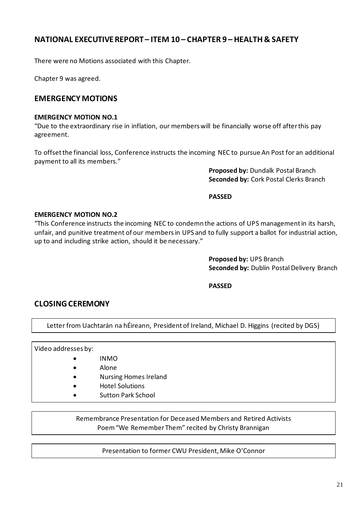## **NATIONAL EXECUTIVE REPORT – ITEM 10 – CHAPTER 9 – HEALTH & SAFETY**

There were no Motions associated with this Chapter.

Chapter 9 was agreed.

## **EMERGENCY MOTIONS**

#### **EMERGENCY MOTION NO.1**

"Due to the extraordinary rise in inflation, our members will be financially worse off after this pay agreement.

To offsetthe financial loss, Conference instructs the incoming NEC to pursue An Post for an additional payment to all its members."

> **Proposed by:** Dundalk Postal Branch **Seconded by:** Cork Postal Clerks Branch

**PASSED**

#### **EMERGENCY MOTION NO.2**

"This Conference instructs the incoming NEC to condemn the actions of UPS management in its harsh, unfair, and punitive treatment of our members in UPS and to fully support a ballot for industrial action, up to and including strike action, should it be necessary."

> **Proposed by:** UPS Branch **Seconded by:** Dublin Postal Delivery Branch

**PASSED**

#### **CLOSING CEREMONY**

Letter from Uachtarán na hÉireann, President of Ireland, Michael D. Higgins (recited by DGS)

Video addresses by:

- INMO
- Alone
- Nursing Homes Ireland
- Hotel Solutions
- Sutton Park School

Remembrance Presentation for Deceased Members and Retired Activists Poem "We Remember Them" recited by Christy Brannigan

Presentation to former CWU President, Mike O'Connor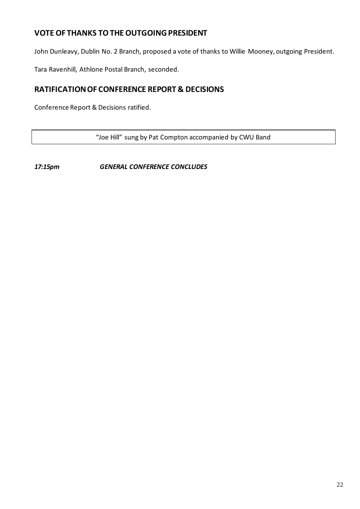## **VOTE OF THANKS TO THE OUTGOING PRESIDENT**

John Dunleavy, Dublin No. 2 Branch, proposed a vote of thanks to Willie Mooney, outgoing President.

Tara Ravenhill, Athlone Postal Branch, seconded.

## **RATIFICATION OF CONFERENCE REPORT & DECISIONS**

Conference Report & Decisions ratified.

"Joe Hill" sung by Pat Compton accompanied by CWU Band

*17:15pm GENERAL CONFERENCE CONCLUDES*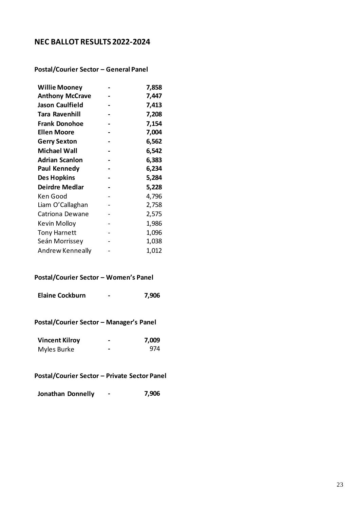## **NEC BALLOT RESULTS 2022-2024**

**Postal/Courier Sector – General Panel**

| <b>Willie Mooney</b>   | 7,858 |
|------------------------|-------|
| <b>Anthony McCrave</b> | 7,447 |
| <b>Jason Caulfield</b> | 7,413 |
| Tara Ravenhill         | 7,208 |
| <b>Frank Donohoe</b>   | 7,154 |
| <b>Ellen Moore</b>     | 7,004 |
| <b>Gerry Sexton</b>    | 6,562 |
| <b>Michael Wall</b>    | 6,542 |
| Adrian Scanlon         | 6,383 |
| <b>Paul Kennedy</b>    | 6,234 |
| <b>Des Hopkins</b>     | 5,284 |
| <b>Deirdre Medlar</b>  | 5,228 |
| Ken Good               | 4,796 |
| Liam O'Callaghan       | 2,758 |
| Catriona Dewane        | 2,575 |
| Kevin Molloy           | 1,986 |
| <b>Tony Harnett</b>    | 1,096 |
| Seán Morrissey         | 1,038 |
| Andrew Kenneally       | 1,012 |

## **Postal/Courier Sector – Women's Panel**

| <b>Elaine Cockburn</b> | - | 7,906 |
|------------------------|---|-------|
|                        |   |       |

**Postal/Courier Sector – Manager's Panel**

| <b>Vincent Kilroy</b> | - | 7,009 |
|-----------------------|---|-------|
| Myles Burke           | - | 974   |

### **Postal/Courier Sector – Private Sector Panel**

| Jonathan Donnelly |  | 7,906 |
|-------------------|--|-------|
|-------------------|--|-------|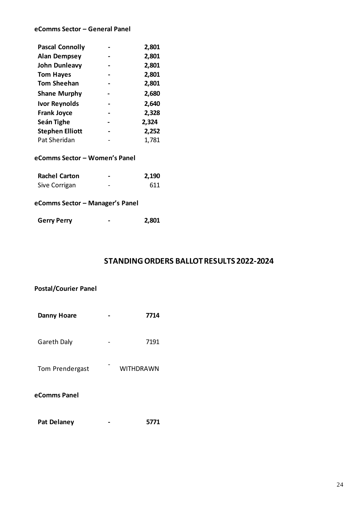#### **eComms Sector – General Panel**

| <b>Pascal Connolly</b> | 2,801 |
|------------------------|-------|
| <b>Alan Dempsey</b>    | 2,801 |
| <b>John Dunleavy</b>   | 2,801 |
| <b>Tom Hayes</b>       | 2,801 |
| <b>Tom Sheehan</b>     | 2,801 |
| <b>Shane Murphy</b>    | 2,680 |
| <b>Ivor Reynolds</b>   | 2,640 |
| <b>Frank Joyce</b>     | 2,328 |
| Seán Tighe             | 2,324 |
| <b>Stephen Elliott</b> | 2,252 |
| Pat Sheridan           | 1,781 |

#### **eComms Sector – Women's Panel**

| <b>Rachel Carton</b> | - | 2,190 |
|----------------------|---|-------|
| Sive Corrigan        | - | 611   |

# **eComms Sector – Manager's Panel**

| <b>Gerry Perry</b> |  | 2,801 |
|--------------------|--|-------|
|--------------------|--|-------|

## **STANDING ORDERS BALLOT RESULTS 2022-2024**

| <b>Postal/Courier Panel</b> |  |           |  |
|-----------------------------|--|-----------|--|
| Danny Hoare                 |  | 7714      |  |
| Gareth Daly                 |  | 7191      |  |
| Tom Prendergast             |  | WITHDRAWN |  |
| eComms Panel                |  |           |  |

| <b>Pat Delaney</b> |  | 5771 |
|--------------------|--|------|
|--------------------|--|------|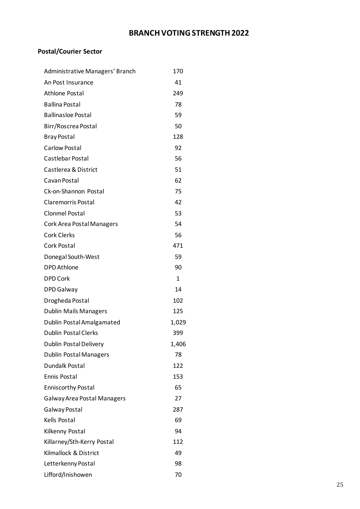# **BRANCH VOTING STRENGTH 2022**

# **Postal/Courier Sector**

| Administrative Managers' Branch    | 170          |
|------------------------------------|--------------|
| An Post Insurance                  | 41           |
| <b>Athlone Postal</b>              | 249          |
| <b>Ballina Postal</b>              | 78           |
| <b>Ballinasloe Postal</b>          | 59           |
| Birr/Roscrea Postal                | 50           |
| <b>Bray Postal</b>                 | 128          |
| Carlow Postal                      | 92           |
| Castlebar Postal                   | 56           |
| Castlerea & District               | 51           |
| Cavan Postal                       | 62           |
| Ck-on-Shannon Postal               | 75           |
| <b>Claremorris Postal</b>          | 42           |
| <b>Clonmel Postal</b>              | 53           |
| <b>Cork Area Postal Managers</b>   | 54           |
| <b>Cork Clerks</b>                 | 56           |
| Cork Postal                        | 471          |
| Donegal South-West                 | 59           |
| <b>DPD Athlone</b>                 | 90           |
| <b>DPD Cork</b>                    | $\mathbf{1}$ |
| <b>DPD Galway</b>                  | 14           |
| Drogheda Postal                    | 102          |
| <b>Dublin Mails Managers</b>       | 125          |
| Dublin Postal Amalgamated          | 1,029        |
| <b>Dublin Postal Clerks</b>        | 399          |
| <b>Dublin Postal Delivery</b>      | 1,406        |
| <b>Dublin Postal Managers</b>      | 78           |
| Dundalk Postal                     | 122          |
| <b>Ennis Postal</b>                | 153          |
| <b>Enniscorthy Postal</b>          | 65           |
| <b>Galway Area Postal Managers</b> | 27           |
| Galway Postal                      | 287          |
| Kells Postal                       | 69           |
| Kilkenny Postal                    | 94           |
| Killarney/Sth-Kerry Postal         | 112          |
| Kilmallock & District              | 49           |
| Letterkenny Postal                 | 98           |
| Lifford/Inishowen                  | 70           |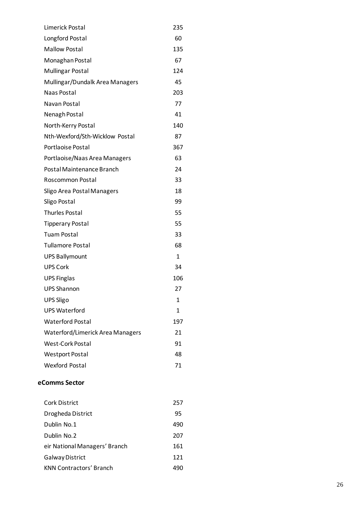| Limerick Postal                  | 235 |
|----------------------------------|-----|
| Longford Postal                  | 60  |
| <b>Mallow Postal</b>             | 135 |
| Monaghan Postal                  | 67  |
| <b>Mullingar Postal</b>          | 124 |
| Mullingar/Dundalk Area Managers  | 45  |
| Naas Postal                      | 203 |
| Navan Postal                     | 77  |
| Nenagh Postal                    | 41  |
| North-Kerry Postal               | 140 |
| Nth-Wexford/Sth-Wicklow Postal   | 87  |
| Portlaoise Postal                | 367 |
| Portlaoise/Naas Area Managers    | 63  |
| Postal Maintenance Branch        | 24  |
| Roscommon Postal                 | 33  |
| Sligo Area Postal Managers       | 18  |
| Sligo Postal                     | 99  |
| <b>Thurles Postal</b>            | 55  |
| <b>Tipperary Postal</b>          | 55  |
| <b>Tuam Postal</b>               | 33  |
| <b>Tullamore Postal</b>          | 68  |
| <b>UPS Ballymount</b>            | 1   |
| <b>UPS Cork</b>                  | 34  |
| <b>UPS Finglas</b>               | 106 |
| <b>UPS Shannon</b>               | 27  |
| <b>UPS Sligo</b>                 | 1   |
| <b>UPS Waterford</b>             | 1   |
| <b>Waterford Postal</b>          | 197 |
| Waterford/Limerick Area Managers | 21  |
| <b>West-Cork Postal</b>          | 91  |
| <b>Westport Postal</b>           | 48  |
| <b>Wexford Postal</b>            | 71  |

#### **eComms Sector**

| <b>Cork District</b>           | 257 |
|--------------------------------|-----|
| Drogheda District              | 95  |
| Dublin No.1                    | 490 |
| Dublin No.2                    | 207 |
| eir National Managers' Branch  | 161 |
| <b>Galway District</b>         | 121 |
| <b>KNN Contractors' Branch</b> | 490 |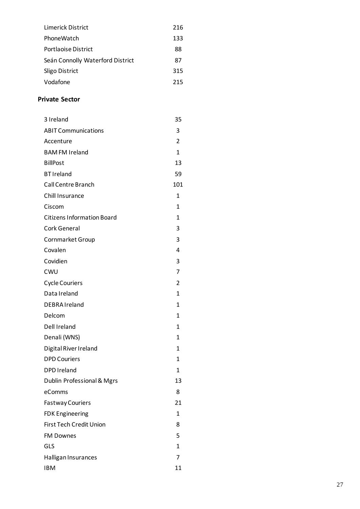| Limerick District                | 216 |
|----------------------------------|-----|
| PhoneWatch                       | 133 |
| Portlaoise District              | 88  |
| Seán Connolly Waterford District | 87  |
| Sligo District                   | 315 |
| Vodafone                         | 215 |
|                                  |     |

#### **P rivate Secto r**

| 3 Ireland                         | 35             |
|-----------------------------------|----------------|
| <b>ABIT Communications</b>        | 3              |
| Accenture                         | $\overline{2}$ |
| <b>BAM FM Ireland</b>             | 1              |
| <b>BillPost</b>                   | 13             |
| <b>BT</b> Ireland                 | 59             |
| <b>Call Centre Branch</b>         | 101            |
| Chill Insurance                   | 1              |
| Ciscom                            | 1              |
| <b>Citizens Information Board</b> | 1              |
| Cork General                      | 3              |
| <b>Cornmarket Group</b>           | 3              |
| Covalen                           | 4              |
| Covidien                          | 3              |
| CWU                               | 7              |
| <b>Cycle Couriers</b>             | 2              |
| Data Ireland                      | 1              |
| DEBRA Ireland                     | 1              |
| Delcom                            | 1              |
| Dell Ireland                      | 1              |
| Denali (WNS)                      | 1              |
| Digital River Ireland             | 1              |
| <b>DPD Couriers</b>               | 1              |
| <b>DPD Ireland</b>                | 1              |
| Dublin Professional & Mgrs        | 13             |
| eComms                            | 8              |
| <b>Fastway Couriers</b>           | 21             |
| <b>FDK Engineering</b>            | 1              |
| First Tech Credit Union           | 8              |
| <b>FM Downes</b>                  | 5              |
| GLS                               | 1              |
| Halligan Insurances               | 7              |
| <b>IBM</b>                        | 11             |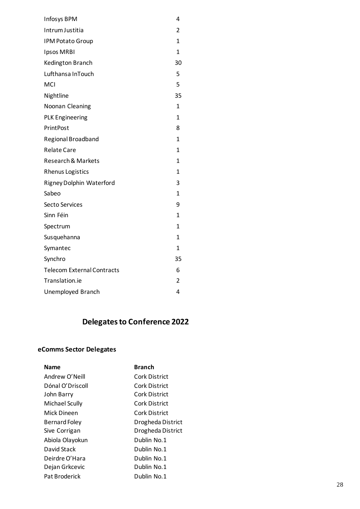| <b>Infosys BPM</b>                | 4              |
|-----------------------------------|----------------|
| Intrum Justitia                   | $\overline{2}$ |
| <b>IPM Potato Group</b>           | 1              |
| Ipsos MRBI                        | 1              |
| Kedington Branch                  | 30             |
| Lufthansa InTouch                 | 5              |
| <b>MCI</b>                        | 5              |
| Nightline                         | 35             |
| Noonan Cleaning                   | 1              |
| <b>PLK Engineering</b>            | 1              |
| <b>PrintPost</b>                  | 8              |
| Regional Broadband                | 1              |
| <b>Relate Care</b>                | 1              |
| <b>Research &amp; Markets</b>     | 1              |
| <b>Rhenus Logistics</b>           | 1              |
| <b>Rigney Dolphin Waterford</b>   | 3              |
| Sabeo                             | 1              |
| Secto Services                    | 9              |
| Sinn Féin                         | 1              |
| Spectrum                          | 1              |
| Susquehanna                       | 1              |
| Symantec                          | 1              |
| Synchro                           | 35             |
| <b>Telecom External Contracts</b> | 6              |
| Translation.ie                    | $\overline{2}$ |
| Unemployed Branch                 | 4              |

# **Delegates to Conference 2022**

## **eComms Sector Delegates**

| <b>Name</b>           | <b>Branch</b>     |
|-----------------------|-------------------|
| Andrew O'Neill        | Cork District     |
| Dónal O'Driscoll      | Cork District     |
| John Barry            | Cork District     |
| <b>Michael Scully</b> | Cork District     |
| Mick Dineen           | Cork District     |
| <b>Bernard Foley</b>  | Drogheda District |
| Sive Corrigan         | Drogheda District |
| Abiola Olayokun       | Dublin No.1       |
| David Stack           | Dublin No.1       |
| Deirdre O'Hara        | Dublin No.1       |
| Dejan Grkcevic        | Dublin No.1       |
| Pat Broderick         | Dublin No.1       |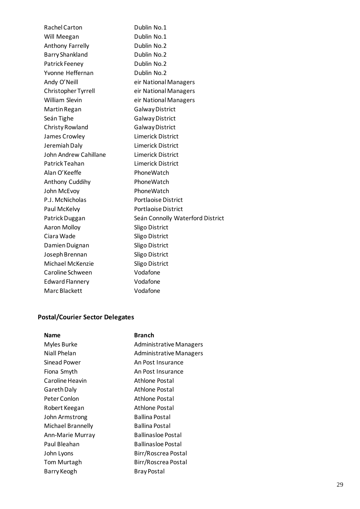Rachel Carton Dublin No.1 Will Meegan Dublin No.1 Anthony Farrelly **Dublin No.2** Barry Shankland Dublin No.2 Patrick Feeney Dublin No.2 Yvonne Heffernan Dublin No.2 Andy O'Neill eir National Managers Christopher Tyrrell eir National Managers William Slevin **eir National Managers** Martin Regan Galway District Seán Tighe Galway District Christy Rowland Galway District James Crowley Limerick District Jeremiah Daly Limerick District John Andrew Cahillane Limerick District Patrick Teahan Limerick District Alan O'Keeffe PhoneWatch Anthony Cuddihy PhoneWatch John McEvoy **PhoneWatch** P.J. McNicholas Portlaoise District Paul McKelvy **Portlaoise District** Patrick Duggan Seán Connolly Waterford District Aaron Molloy Sligo District Ciara Wade Sligo District Damien Duignan Sligo District Joseph Brennan Sligo District Michael McKenzie Sligo District Caroline Schween Vodafone Edward Flannery Vodafone Marc Blackett Vodafone

#### **Postal/Courier Sector Delegates**

| Name              | <b>Branch</b>                  |
|-------------------|--------------------------------|
| Myles Burke       | <b>Administrative Managers</b> |
| Niall Phelan      | <b>Administrative Managers</b> |
| Sinead Power      | An Post Insurance              |
| Fiona Smyth       | An Post Insurance              |
| Caroline Heavin   | Athlone Postal                 |
| Gareth Daly       | Athlone Postal                 |
| Peter Conlon      | Athlone Postal                 |
| Robert Keegan     | Athlone Postal                 |
| John Armstrong    | <b>Ballina Postal</b>          |
| Michael Brannelly | Ballina Postal                 |
| Ann-Marie Murray  | <b>Ballinasloe Postal</b>      |
| Paul Bleahan      | Ballinasloe Postal             |
| John Lyons        | Birr/Roscrea Postal            |
| Tom Murtagh       | Birr/Roscrea Postal            |
| Barry Keogh       | <b>Bray Postal</b>             |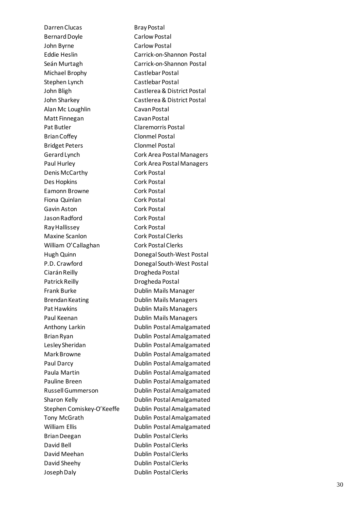Darren Clucas Bray Postal Bernard Doyle Carlow Postal John Byrne Carlow Postal Eddie Heslin Se án Murtagh Carrick Michael Brophy Castlebar Postal Stephen Lynch John Bligh Castlerea & District Postal John Sharkey Castlerea & District Postal Alan Mc Loughlin Cavan Postal Matt Finnegan Cavan Postal Pat Butler Claremorris Postal Brian Coffey Clonmel Postal Bridget Peters Clonmel Postal Gerard Lynch Cork Area Postal Man agers Paul Hurley **Cork Area Postal Managers** Denis McCarthy Cork Postal Des Hopkins Cork Postal Eamonn Browne Cork Postal Fiona Quinlan Cork Postal Gavin Aston **Cork Postal** Jason Radford Cork Postal Ray Hallissey Cork Postal Maxine Scanlon Cork Postal Clerks William O ' Hugh Quinn Donegal South -West Postal P . D Ciarán Reilly Patrick Reilly **Drogheda Postal** Frank Burk e Brendan Keating Pat Hawkins **National State Communist Pat Hawkins** Paul Keenan Sharon Kell Stephen Comiskey-O'Keeffe Dubl Brian Deegan Dublin Postal Clerks David Bell Dublin Postal Clerks David Meehan Dublin Postal Clerks David Sheehy Dublin Postal Clerks Joseph Daly

-on -Shannon Postal -on -Shannon Postal Castlebar Postal Callaghan Cork Postal Clerk s . Crawford **Donegal South-West Postal** Drogheda Postal Dublin Mails Man ager Dublin Mails Manager s Keenan Dublin Mails Manager s Anthony Larkin Dublin Postal Amalgamated Brian Ryan **Dublin Postal Amalgamated** Lesley Sheridan Dublin Postal Amalgamated Mark Browne **Dublin Postal Amalgamated** Paul Darcy **Dublin Postal Amalgamated** Paula Martin **Dublin Postal Amalgamated** Pauline Breen Dublin Postal Amalgamated Russell Gummerson Dublin PostalAmalgamated Dublin Postal Amalgamated Dublin Postal Amalgamated Tony McGrath Dublin Postal Amalgamated William Ellis **Dublin Postal Amalgamated** Dublin Postal Clerks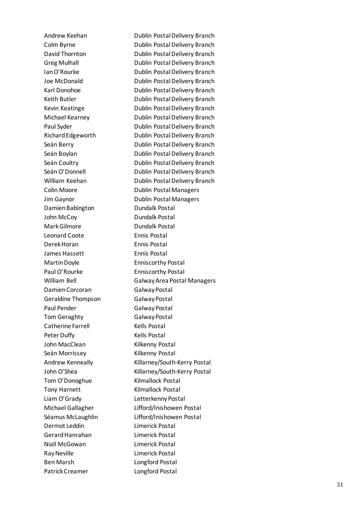Ian O Joe McDonald **Richard Edgeworth** Seán Berry Seán O'Donnell **Colin Moore** Damien Babington **Dundalk Postal** John McCoy **Dundalk Postal** Mark Gilmore **Dundalk Postal** Leonard Coote Derek Horan **Ennis Postal** James Hassett **Ennis Postal** Mart in D P aul O Damien Corcoran Galway Postal Geraldine Thompson Galway Postal Paul Pender Galway Postal Tom Geraghty Galway Postal Catherine Farrell Kells Postal Peter Duffy **Kells Postal** John MacClean Kilkenny Postal Seán Morrissey Andrew Kenneally John O Tom O'Donoghue Tony Harnett Kilmallock Postal Liam O 'Grad Michael Gallagher S éamus McLaughli Dermot Leddin Limerick Postal Gerard Hanrahan Limerick Postal Niall McGowan Limerick Postal Ray Neville **Limerick Postal** Ben Marsh Longford Pos tal

Andrew Keehan Dublin Postal Delivery Branch Colm Byrne **Dublin Postal Delivery Branch** David Thornton **Dublin Postal Delivery Branch** Greg Mulhall **Greg Mulhall Dublin Postal Delivery Branch** 'Rourke **Dublin Postal Delivery Branch** Dublin Postal Delivery Branch Karl Donohoe **Dublin Postal Delivery Branch** Keith Butler **Dublin Postal Delivery Branch** Kevin Keatinge **Dublin Postal Delivery Branch** Michael Kearney Dublin Postal Delivery Branch Paul Syder **Dublin Postal Delivery Branch** Dublin Postal Delivery Branch Dublin Postal Delivery Branch Seán Boylan **Dublin Postal Delivery Branch** Seán Coultry **Dublin Postal Delivery Branch** Dublin Postal Delivery Branch William Keehan Mandoo Bublin Postal Delivery Branch Dublin Postal Managers Jim Gaynor Dublin Postal Managers Ennis Postal Enniscorthy Postal Enniscorthy Postal William Bell Galway Area Postal Managers Kilkenny Postal Killarney/South -Kerry Postal 'Shea Killarney/South-Kerry Postal Kilmallock Postal Letterkenny Postal Lifford/Inishowen Postal n Lifford/Inis howen Postal Patrick Creamer Longford Postal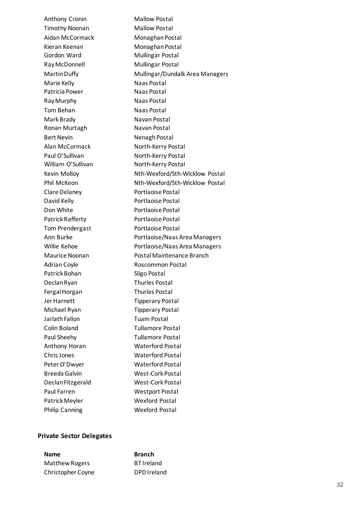Anthony Cronin Mallow Postal Timothy Noonan Mallow Postal Aidan McCormack Monaghan Postal Kieran Keenan Monaghan Postal Gordon Ward Mullingar Postal **Ray McDonnell** Mullingar Postal Martin Duffy / Dundalk A rea Managers Marie Kelly Naas Postal Patricia Power Naas Postal Ray Murphy Naas Postal Tom Behan Naas Postal Mark Brady Navan Postal Ronan Murtagh Navan Postal Bert Nevin Nenagh Postal Alan McCormack North-Kerry Postal Paul O'Sullivan Nort h -Kerry Postal William O'Sullivan North North-Kerry Postal Kevin Molloy Nth-Wexford/Sth-Wicklow Postal Phil McKeon Nth-Wexford/Sth-Wicklow Postal Clare Delaney **Portlaoise Postal** David Kelly **Portlaoise Postal** Don White **Portlaoise Postal** Patrick Rafferty **Portlaoise Postal** Tom Prendergast Portlaoise Postal Ann Burke Portlaoise /Naas Area Managers Willie Kehoe Portlaoise/Naas Area Managers Maurice Noonan Postal Maintenance Branch Adrian Coyle **Roscommon Postal** Patrick Bohan Sligo Postal Declan Ryan Thurles Postal Fergal Horgan Thurles Postal Jer Harnett Tipperary Postal Michael Ryan Tipperary Postal Jarlath Fallon Tuam Postal Colin Boland Tullamore Postal Paul Sheehy **Tullamore Postal** Anthony Hora n Waterford Postal ChrisJones Waterford Postal Peter O 'Dwye r Waterford Post al Breeda Galvin West-Cork Postal Declan Fitzgerald West-Cork Postal Paul Farren Westport Postal Patrick Meyler Wexford Postal Philip Canning Wexford Postal

#### **P r ivate Secto r Delegates**

**Name Branch** Matthew Rogers BT Ireland Christoph

DPD Ireland